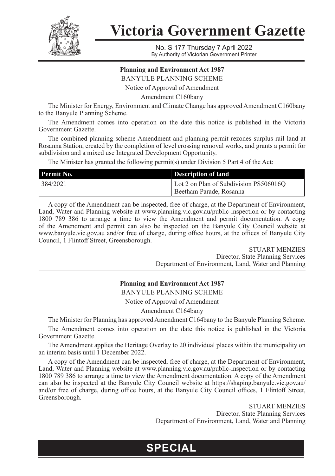

**Victoria Government Gazette**

No. S 177 Thursday 7 April 2022 By Authority of Victorian Government Printer

## **Planning and Environment Act 1987**

BANYULE PLANNING SCHEME

Notice of Approval of Amendment

Amendment C160bany

The Minister for Energy, Environment and Climate Change has approved Amendment C160bany to the Banyule Planning Scheme.

The Amendment comes into operation on the date this notice is published in the Victoria Government Gazette.

The combined planning scheme Amendment and planning permit rezones surplus rail land at Rosanna Station, created by the completion of level crossing removal works, and grants a permit for subdivision and a mixed use Integrated Development Opportunity.

The Minister has granted the following permit(s) under Division 5 Part 4 of the Act:

| Permit No. | <b>Description of land</b>                                          |
|------------|---------------------------------------------------------------------|
| 384/2021   | Lot 2 on Plan of Subdivision PS506016Q<br>  Beetham Parade. Rosanna |

A copy of the Amendment can be inspected, free of charge, at the Department of Environment, Land, Water and Planning website at www.planning.vic.gov.au/public-inspection or by contacting 1800 789 386 to arrange a time to view the Amendment and permit documentation. A copy of the Amendment and permit can also be inspected on the Banyule City Council website at www.banyule.vic.gov.au and/or free of charge, during office hours, at the offices of Banyule City Council, 1 Flintoff Street, Greensborough.

> STUART MENZIES Director, State Planning Services Department of Environment, Land, Water and Planning

### **Planning and Environment Act 1987**

BANYULE PLANNING SCHEME

Notice of Approval of Amendment

Amendment C164bany

The Minister for Planning has approved Amendment C164bany to the Banyule Planning Scheme.

The Amendment comes into operation on the date this notice is published in the Victoria Government Gazette.

The Amendment applies the Heritage Overlay to 20 individual places within the municipality on an interim basis until 1 December 2022.

A copy of the Amendment can be inspected, free of charge, at the Department of Environment, Land, Water and Planning website at www.planning.vic.gov.au/public-inspection or by contacting 1800 789 386 to arrange a time to view the Amendment documentation. A copy of the Amendment can also be inspected at the Banyule City Council website at https://shaping.banyule.vic.gov.au/ and/or free of charge, during office hours, at the Banyule City Council offices, 1 Flintoff Street, Greensborough.

**SPECIAL**

STUART MENZIES Director, State Planning Services Department of Environment, Land, Water and Planning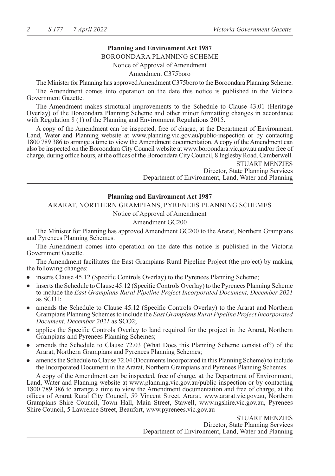## **Planning and Environment Act 1987**

#### BOROONDARA PLANNING SCHEME

Notice of Approval of Amendment

#### Amendment C375boro

The Minister for Planning has approved Amendment C375boro to the Boroondara Planning Scheme.

The Amendment comes into operation on the date this notice is published in the Victoria Government Gazette.

The Amendment makes structural improvements to the Schedule to Clause 43.01 (Heritage Overlay) of the Boroondara Planning Scheme and other minor formatting changes in accordance with Regulation 8 (1) of the Planning and Environment Regulations 2015.

A copy of the Amendment can be inspected, free of charge, at the Department of Environment, Land, Water and Planning website at www.planning.vic.gov.au/public-inspection or by contacting 1800 789 386 to arrange a time to view the Amendment documentation. A copy of the Amendment can also be inspected on the Boroondara City Council website at www.boroondara.vic.gov.au and/or free of charge, during office hours, at the offices of the Boroondara City Council, 8 Inglesby Road, Camberwell.

> STUART MENZIES Director, State Planning Services Department of Environment, Land, Water and Planning

## **Planning and Environment Act 1987**

ARARAT, NORTHERN GRAMPIANS, PYRENEES PLANNING SCHEMES

Notice of Approval of Amendment

#### Amendment GC200

The Minister for Planning has approved Amendment GC200 to the Ararat, Northern Grampians and Pyrenees Planning Schemes.

The Amendment comes into operation on the date this notice is published in the Victoria Government Gazette.

The Amendment facilitates the East Grampians Rural Pipeline Project (the project) by making the following changes:

- inserts Clause 45.12 (Specific Controls Overlay) to the Pyrenees Planning Scheme;
- inserts the Schedule to Clause 45.12 (Specific Controls Overlay) to the Pyrenees Planning Scheme to include the *East Grampians Rural Pipeline Project Incorporated Document, December 2021* as SCO1;
- amends the Schedule to Clause 45.12 (Specific Controls Overlay) to the Ararat and Northern Grampians Planning Schemes to include the *East Grampians Rural Pipeline Project Incorporated Document, December 2021* as SCO2;
- applies the Specific Controls Overlay to land required for the project in the Ararat, Northern Grampians and Pyrenees Planning Schemes;
- amends the Schedule to Clause 72.03 (What Does this Planning Scheme consist of?) of the Ararat, Northern Grampians and Pyrenees Planning Schemes;
- amends the Schedule to Clause 72.04 (Documents Incorporated in this Planning Scheme) to include the Incorporated Document in the Ararat, Northern Grampians and Pyrenees Planning Schemes.

A copy of the Amendment can be inspected, free of charge, at the Department of Environment, Land, Water and Planning website at www.planning.vic.gov.au/public-inspection or by contacting 1800 789 386 to arrange a time to view the Amendment documentation and free of charge, at the offices of Ararat Rural City Council, 59 Vincent Street, Ararat, www.ararat.vic.gov.au, Northern Grampians Shire Council, Town Hall, Main Street, Stawell, www.ngshire.vic.gov.au, Pyrenees Shire Council, 5 Lawrence Street, Beaufort, www.pyrenees.vic.gov.au

> STUART MENZIES Director, State Planning Services Department of Environment, Land, Water and Planning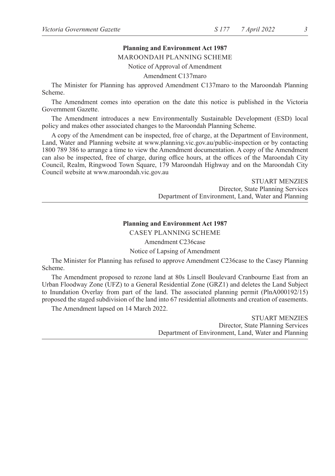# **Planning and Environment Act 1987**

#### MAROONDAH PLANNING SCHEME

Notice of Approval of Amendment

Amendment C137maro

The Minister for Planning has approved Amendment C137maro to the Maroondah Planning Scheme.

The Amendment comes into operation on the date this notice is published in the Victoria Government Gazette.

The Amendment introduces a new Environmentally Sustainable Development (ESD) local policy and makes other associated changes to the Maroondah Planning Scheme.

A copy of the Amendment can be inspected, free of charge, at the Department of Environment, Land, Water and Planning website at www.planning.vic.gov.au/public-inspection or by contacting 1800 789 386 to arrange a time to view the Amendment documentation. A copy of the Amendment can also be inspected, free of charge, during office hours, at the offices of the Maroondah City Council, Realm, Ringwood Town Square, 179 Maroondah Highway and on the Maroondah City Council website at www.maroondah.vic.gov.au

> STUART MENZIES Director, State Planning Services Department of Environment, Land, Water and Planning

## **Planning and Environment Act 1987** CASEY PLANNING SCHEME

Amendment C236case

Notice of Lapsing of Amendment

The Minister for Planning has refused to approve Amendment C236case to the Casey Planning Scheme.

The Amendment proposed to rezone land at 80s Linsell Boulevard Cranbourne East from an Urban Floodway Zone (UFZ) to a General Residential Zone (GRZ1) and deletes the Land Subject to Inundation Overlay from part of the land. The associated planning permit (PlnA000192/15) proposed the staged subdivision of the land into 67 residential allotments and creation of easements.

The Amendment lapsed on 14 March 2022.

STUART MENZIES Director, State Planning Services Department of Environment, Land, Water and Planning